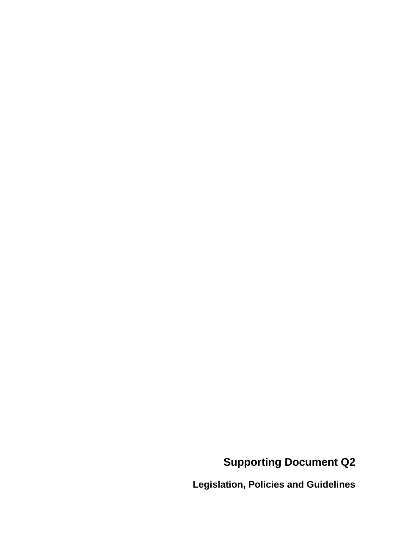# **Supporting Document Q2**

**Legislation, Policies and Guidelines**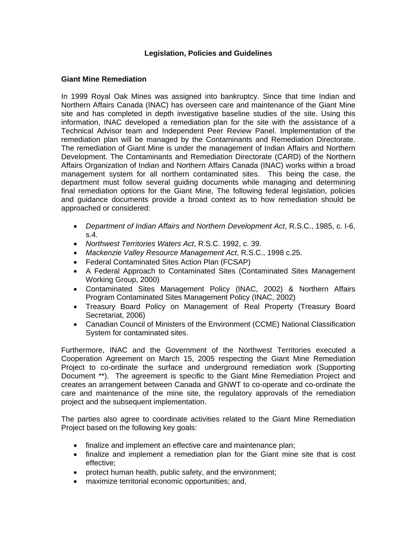### **Legislation, Policies and Guidelines**

#### **Giant Mine Remediation**

In 1999 Royal Oak Mines was assigned into bankruptcy. Since that time Indian and Northern Affairs Canada (INAC) has overseen care and maintenance of the Giant Mine site and has completed in depth investigative baseline studies of the site. Using this information, INAC developed a remediation plan for the site with the assistance of a Technical Advisor team and Independent Peer Review Panel. Implementation of the remediation plan will be managed by the Contaminants and Remediation Directorate. The remediation of Giant Mine is under the management of Indian Affairs and Northern Development. The Contaminants and Remediation Directorate (CARD) of the Northern Affairs Organization of Indian and Northern Affairs Canada (INAC) works within a broad management system for all northern contaminated sites. This being the case, the department must follow several guiding documents while managing and determining final remediation options for the Giant Mine, The following federal legislation, policies and guidance documents provide a broad context as to how remediation should be approached or considered:

- *Department of Indian Affairs and Northern Development Act*, R.S.C., 1985, c. I-6, s.4.
- *Northwest Territories Waters Act*, R.S.C. 1992, c. 39.
- *Mackenzie Valley Resource Management Act*, R.S.C., 1998 c.25.
- Federal Contaminated Sites Action Plan (FCSAP)
- A Federal Approach to Contaminated Sites (Contaminated Sites Management Working Group, 2000)
- Contaminated Sites Management Policy (INAC, 2002) & Northern Affairs Program Contaminated Sites Management Policy (INAC, 2002)
- Treasury Board Policy on Management of Real Property (Treasury Board Secretariat, 2006)
- Canadian Council of Ministers of the Environment (CCME) National Classification System for contaminated sites.

Furthermore, INAC and the Government of the Northwest Territories executed a Cooperation Agreement on March 15, 2005 respecting the Giant Mine Remediation Project to co-ordinate the surface and underground remediation work (Supporting Document \*\*). The agreement is specific to the Giant Mine Remediation Project and creates an arrangement between Canada and GNWT to co-operate and co-ordinate the care and maintenance of the mine site, the regulatory approvals of the remediation project and the subsequent implementation.

The parties also agree to coordinate activities related to the Giant Mine Remediation Project based on the following key goals:

- finalize and implement an effective care and maintenance plan;
- finalize and implement a remediation plan for the Giant mine site that is cost effective;
- protect human health, public safety, and the environment;
- maximize territorial economic opportunities; and,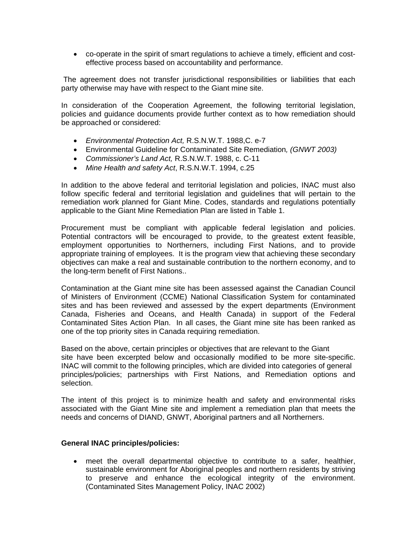• co-operate in the spirit of smart regulations to achieve a timely, efficient and costeffective process based on accountability and performance.

 The agreement does not transfer jurisdictional responsibilities or liabilities that each party otherwise may have with respect to the Giant mine site.

In consideration of the Cooperation Agreement, the following territorial legislation, policies and guidance documents provide further context as to how remediation should be approached or considered:

- *Environmental Protection Act,* R.S.N.W.T. 1988,C. e-7
- Environmental Guideline for Contaminated Site Remediation*, (GNWT 2003)*
- *Commissioner's Land Act,* R.S.N.W.T. 1988, c. C-11
- *Mine Health and safety Act*, R.S.N.W.T. 1994, c.25

In addition to the above federal and territorial legislation and policies, INAC must also follow specific federal and territorial legislation and guidelines that will pertain to the remediation work planned for Giant Mine. Codes, standards and regulations potentially applicable to the Giant Mine Remediation Plan are listed in Table 1.

Procurement must be compliant with applicable federal legislation and policies. Potential contractors will be encouraged to provide, to the greatest extent feasible, employment opportunities to Northerners, including First Nations, and to provide appropriate training of employees. It is the program view that achieving these secondary objectives can make a real and sustainable contribution to the northern economy, and to the long-term benefit of First Nations..

Contamination at the Giant mine site has been assessed against the Canadian Council of Ministers of Environment (CCME) National Classification System for contaminated sites and has been reviewed and assessed by the expert departments (Environment Canada, Fisheries and Oceans, and Health Canada) in support of the Federal Contaminated Sites Action Plan. In all cases, the Giant mine site has been ranked as one of the top priority sites in Canada requiring remediation.

Based on the above, certain principles or objectives that are relevant to the Giant site have been excerpted below and occasionally modified to be more site-specific. INAC will commit to the following principles, which are divided into categories of general principles/policies; partnerships with First Nations, and Remediation options and selection.

The intent of this project is to minimize health and safety and environmental risks associated with the Giant Mine site and implement a remediation plan that meets the needs and concerns of DIAND, GNWT, Aboriginal partners and all Northerners.

#### **General INAC principles/policies:**

• meet the overall departmental objective to contribute to a safer, healthier, sustainable environment for Aboriginal peoples and northern residents by striving to preserve and enhance the ecological integrity of the environment. (Contaminated Sites Management Policy, INAC 2002)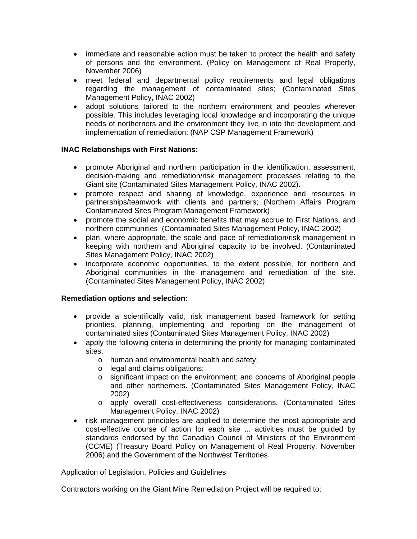- immediate and reasonable action must be taken to protect the health and safety of persons and the environment. (Policy on Management of Real Property, November 2006)
- meet federal and departmental policy requirements and legal obligations regarding the management of contaminated sites; (Contaminated Sites Management Policy, INAC 2002)
- adopt solutions tailored to the northern environment and peoples wherever possible. This includes leveraging local knowledge and incorporating the unique needs of northerners and the environment they live in into the development and implementation of remediation; (NAP CSP Management Framework)

## **INAC Relationships with First Nations:**

- promote Aboriginal and northern participation in the identification, assessment, decision-making and remediation/risk management processes relating to the Giant site (Contaminated Sites Management Policy, INAC 2002).
- promote respect and sharing of knowledge, experience and resources in partnerships/teamwork with clients and partners; (Northern Affairs Program Contaminated Sites Program Management Framework)
- promote the social and economic benefits that may accrue to First Nations, and northern communities (Contaminated Sites Management Policy, INAC 2002)
- plan, where appropriate, the scale and pace of remediation/risk management in keeping with northern and Aboriginal capacity to be involved. (Contaminated Sites Management Policy, INAC 2002)
- incorporate economic opportunities, to the extent possible, for northern and Aboriginal communities in the management and remediation of the site. (Contaminated Sites Management Policy, INAC 2002)

## **Remediation options and selection:**

- provide a scientifically valid, risk management based framework for setting priorities, planning, implementing and reporting on the management of contaminated sites (Contaminated Sites Management Policy, INAC 2002)
- apply the following criteria in determining the priority for managing contaminated sites:
	- o human and environmental health and safety;
	- o legal and claims obligations;
	- o significant impact on the environment; and concerns of Aboriginal people and other northerners. (Contaminated Sites Management Policy, INAC 2002)
	- o apply overall cost-effectiveness considerations. (Contaminated Sites Management Policy, INAC 2002)
- risk management principles are applied to determine the most appropriate and cost-effective course of action for each site ... activities must be guided by standards endorsed by the Canadian Council of Ministers of the Environment (CCME) (Treasury Board Policy on Management of Real Property, November 2006) and the Government of the Northwest Territories.

Application of Legislation, Policies and Guidelines

Contractors working on the Giant Mine Remediation Project will be required to: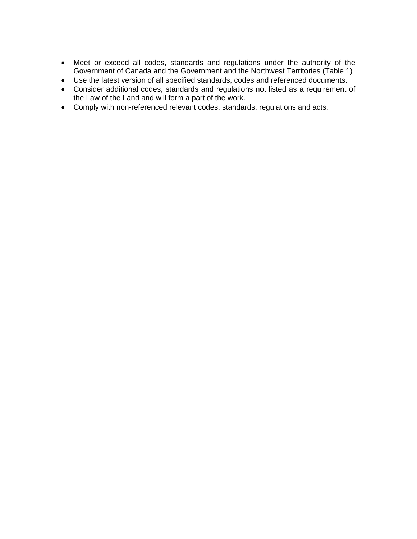- Meet or exceed all codes, standards and regulations under the authority of the Government of Canada and the Government and the Northwest Territories (Table 1)
- Use the latest version of all specified standards, codes and referenced documents.
- Consider additional codes, standards and regulations not listed as a requirement of the Law of the Land and will form a part of the work.
- Comply with non-referenced relevant codes, standards, regulations and acts.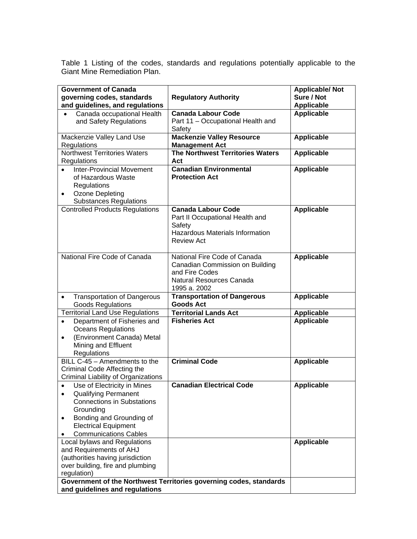Table 1 Listing of the codes, standards and regulations potentially applicable to the Giant Mine Remediation Plan.

| <b>Government of Canada</b>                                                 |                                                                    | <b>Applicable/Not</b> |
|-----------------------------------------------------------------------------|--------------------------------------------------------------------|-----------------------|
| governing codes, standards                                                  | <b>Regulatory Authority</b>                                        | Sure / Not            |
| and guidelines, and regulations                                             |                                                                    | <b>Applicable</b>     |
| Canada occupational Health                                                  | <b>Canada Labour Code</b>                                          | <b>Applicable</b>     |
| and Safety Regulations                                                      | Part 11 - Occupational Health and                                  |                       |
|                                                                             | Safety                                                             |                       |
| Mackenzie Valley Land Use                                                   | <b>Mackenzie Valley Resource</b>                                   | <b>Applicable</b>     |
| Regulations<br><b>Northwest Territories Waters</b>                          | <b>Management Act</b>                                              |                       |
| Regulations                                                                 | The Northwest Territories Waters<br>Act                            | <b>Applicable</b>     |
| <b>Inter-Provincial Movement</b>                                            | <b>Canadian Environmental</b>                                      | <b>Applicable</b>     |
| of Hazardous Waste                                                          | <b>Protection Act</b>                                              |                       |
| Regulations                                                                 |                                                                    |                       |
| Ozone Depleting<br>$\bullet$                                                |                                                                    |                       |
| <b>Substances Regulations</b>                                               |                                                                    |                       |
| <b>Controlled Products Regulations</b>                                      | <b>Canada Labour Code</b>                                          | <b>Applicable</b>     |
|                                                                             | Part II Occupational Health and                                    |                       |
|                                                                             | Safety                                                             |                       |
|                                                                             | Hazardous Materials Information                                    |                       |
|                                                                             | <b>Review Act</b>                                                  |                       |
|                                                                             |                                                                    |                       |
| National Fire Code of Canada                                                | National Fire Code of Canada                                       | <b>Applicable</b>     |
|                                                                             | Canadian Commission on Building                                    |                       |
|                                                                             | and Fire Codes                                                     |                       |
|                                                                             | Natural Resources Canada                                           |                       |
|                                                                             | 1995 a. 2002                                                       |                       |
| <b>Transportation of Dangerous</b><br>$\bullet$<br><b>Goods Regulations</b> | <b>Transportation of Dangerous</b><br><b>Goods Act</b>             | <b>Applicable</b>     |
| <b>Territorial Land Use Regulations</b>                                     | <b>Territorial Lands Act</b>                                       | <b>Applicable</b>     |
| Department of Fisheries and<br>$\bullet$                                    | <b>Fisheries Act</b>                                               | <b>Applicable</b>     |
| <b>Oceans Regulations</b>                                                   |                                                                    |                       |
| (Environment Canada) Metal<br>$\bullet$                                     |                                                                    |                       |
| Mining and Effluent                                                         |                                                                    |                       |
| Regulations                                                                 |                                                                    |                       |
| BILL C-45 - Amendments to the                                               | <b>Criminal Code</b>                                               | <b>Applicable</b>     |
| Criminal Code Affecting the                                                 |                                                                    |                       |
| Criminal Liability of Organizations                                         |                                                                    |                       |
| Use of Electricity in Mines<br>$\bullet$                                    | <b>Canadian Electrical Code</b>                                    | <b>Applicable</b>     |
| <b>Qualifying Permanent</b><br>$\bullet$                                    |                                                                    |                       |
| <b>Connections in Substations</b>                                           |                                                                    |                       |
| Grounding                                                                   |                                                                    |                       |
| Bonding and Grounding of<br>$\bullet$                                       |                                                                    |                       |
| <b>Electrical Equipment</b>                                                 |                                                                    |                       |
| <b>Communications Cables</b>                                                |                                                                    |                       |
| Local bylaws and Regulations                                                |                                                                    | Applicable            |
| and Requirements of AHJ                                                     |                                                                    |                       |
| (authorities having jurisdiction                                            |                                                                    |                       |
| over building, fire and plumbing<br>regulation)                             |                                                                    |                       |
|                                                                             | Government of the Northwest Territories governing codes, standards |                       |
| and guidelines and regulations                                              |                                                                    |                       |
|                                                                             |                                                                    |                       |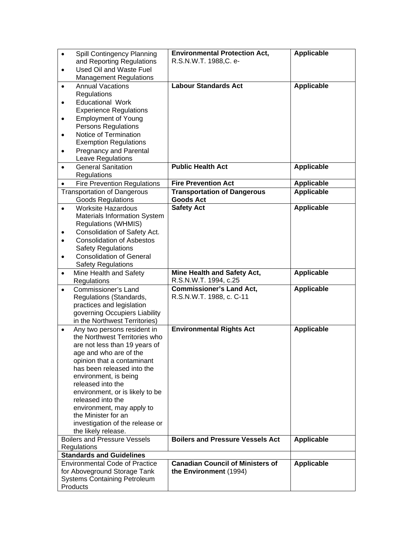| Spill Contingency Planning<br>$\bullet$                    | <b>Environmental Protection Act,</b>    | <b>Applicable</b> |
|------------------------------------------------------------|-----------------------------------------|-------------------|
| and Reporting Regulations                                  | R.S.N.W.T. 1988,C. e-                   |                   |
| Used Oil and Waste Fuel<br>$\bullet$                       |                                         |                   |
| <b>Management Regulations</b>                              | <b>Labour Standards Act</b>             | <b>Applicable</b> |
| <b>Annual Vacations</b><br>$\bullet$<br><b>Requlations</b> |                                         |                   |
| <b>Educational Work</b><br>$\bullet$                       |                                         |                   |
| <b>Experience Regulations</b>                              |                                         |                   |
| <b>Employment of Young</b><br>$\bullet$                    |                                         |                   |
| Persons Regulations                                        |                                         |                   |
| Notice of Termination<br>$\bullet$                         |                                         |                   |
| <b>Exemption Regulations</b>                               |                                         |                   |
| <b>Pregnancy and Parental</b><br>$\bullet$                 |                                         |                   |
| Leave Regulations                                          |                                         |                   |
| <b>General Sanitation</b><br>$\bullet$                     | <b>Public Health Act</b>                | <b>Applicable</b> |
| Regulations                                                |                                         |                   |
| <b>Fire Prevention Regulations</b><br>$\bullet$            | <b>Fire Prevention Act</b>              | <b>Applicable</b> |
| <b>Transportation of Dangerous</b>                         | <b>Transportation of Dangerous</b>      | <b>Applicable</b> |
| <b>Goods Regulations</b>                                   | <b>Goods Act</b>                        |                   |
| <b>Worksite Hazardous</b><br>$\bullet$                     | <b>Safety Act</b>                       | <b>Applicable</b> |
| Materials Information System<br>Regulations (WHMIS)        |                                         |                   |
| Consolidation of Safety Act.<br>٠                          |                                         |                   |
| <b>Consolidation of Asbestos</b><br>$\bullet$              |                                         |                   |
| <b>Safety Regulations</b>                                  |                                         |                   |
| <b>Consolidation of General</b><br>$\bullet$               |                                         |                   |
| <b>Safety Regulations</b>                                  |                                         |                   |
| Mine Health and Safety<br>$\bullet$                        | Mine Health and Safety Act,             | <b>Applicable</b> |
| Regulations                                                | R.S.N.W.T. 1994, c.25                   |                   |
|                                                            |                                         |                   |
| Commissioner's Land<br>$\bullet$                           | <b>Commissioner's Land Act,</b>         | <b>Applicable</b> |
| Regulations (Standards,                                    | R.S.N.W.T. 1988, c. C-11                |                   |
| practices and legislation                                  |                                         |                   |
| governing Occupiers Liability                              |                                         |                   |
| in the Northwest Territories)                              |                                         |                   |
| Any two persons resident in<br>$\bullet$                   | <b>Environmental Rights Act</b>         | <b>Applicable</b> |
| the Northwest Territories who                              |                                         |                   |
| are not less than 19 years of                              |                                         |                   |
| age and who are of the<br>opinion that a contaminant       |                                         |                   |
| has been released into the                                 |                                         |                   |
| environment, is being                                      |                                         |                   |
| released into the                                          |                                         |                   |
| environment, or is likely to be                            |                                         |                   |
| released into the                                          |                                         |                   |
| environment, may apply to                                  |                                         |                   |
| the Minister for an                                        |                                         |                   |
| investigation of the release or                            |                                         |                   |
| the likely release.<br><b>Boilers and Pressure Vessels</b> | <b>Boilers and Pressure Vessels Act</b> |                   |
| Regulations                                                |                                         | <b>Applicable</b> |
| <b>Standards and Guidelines</b>                            |                                         |                   |
| <b>Environmental Code of Practice</b>                      | <b>Canadian Council of Ministers of</b> | Applicable        |
| for Aboveground Storage Tank                               | the Environment (1994)                  |                   |
| <b>Systems Containing Petroleum</b><br>Products            |                                         |                   |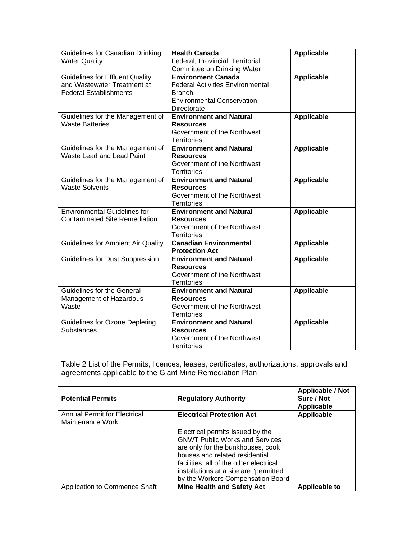| Guidelines for Canadian Drinking<br><b>Water Quality</b>                                               | <b>Health Canada</b><br>Federal, Provincial, Territorial<br>Committee on Drinking Water                                                   | <b>Applicable</b> |
|--------------------------------------------------------------------------------------------------------|-------------------------------------------------------------------------------------------------------------------------------------------|-------------------|
| <b>Guidelines for Effluent Quality</b><br>and Wastewater Treatment at<br><b>Federal Establishments</b> | <b>Environment Canada</b><br><b>Federal Activities Environmental</b><br><b>Branch</b><br><b>Environmental Conservation</b><br>Directorate | <b>Applicable</b> |
| Guidelines for the Management of<br><b>Waste Batteries</b>                                             | <b>Environment and Natural</b><br><b>Resources</b><br>Government of the Northwest<br><b>Territories</b>                                   | <b>Applicable</b> |
| Guidelines for the Management of<br>Waste Lead and Lead Paint                                          | <b>Environment and Natural</b><br><b>Resources</b><br>Government of the Northwest<br><b>Territories</b>                                   | <b>Applicable</b> |
| Guidelines for the Management of<br><b>Waste Solvents</b>                                              | <b>Environment and Natural</b><br><b>Resources</b><br>Government of the Northwest<br><b>Territories</b>                                   | <b>Applicable</b> |
| <b>Environmental Guidelines for</b><br>Contaminated Site Remediation                                   | <b>Environment and Natural</b><br><b>Resources</b><br>Government of the Northwest<br><b>Territories</b>                                   | <b>Applicable</b> |
| <b>Guidelines for Ambient Air Quality</b>                                                              | <b>Canadian Environmental</b><br><b>Protection Act</b>                                                                                    | <b>Applicable</b> |
| Guidelines for Dust Suppression                                                                        | <b>Environment and Natural</b><br><b>Resources</b><br>Government of the Northwest<br><b>Territories</b>                                   | <b>Applicable</b> |
| <b>Guidelines for the General</b><br>Management of Hazardous<br>Waste                                  | <b>Environment and Natural</b><br><b>Resources</b><br>Government of the Northwest<br><b>Territories</b>                                   | <b>Applicable</b> |
| <b>Guidelines for Ozone Depleting</b><br>Substances                                                    | <b>Environment and Natural</b><br><b>Resources</b><br>Government of the Northwest<br><b>Territories</b>                                   | <b>Applicable</b> |

Table 2 List of the Permits, licences, leases, certificates, authorizations, approvals and agreements applicable to the Giant Mine Remediation Plan

| <b>Potential Permits</b>                         | <b>Regulatory Authority</b>                                                                                                                                                                                                                                                 | <b>Applicable / Not</b><br>Sure / Not<br>Applicable |
|--------------------------------------------------|-----------------------------------------------------------------------------------------------------------------------------------------------------------------------------------------------------------------------------------------------------------------------------|-----------------------------------------------------|
| Annual Permit for Electrical<br>Maintenance Work | <b>Electrical Protection Act</b>                                                                                                                                                                                                                                            | <b>Applicable</b>                                   |
|                                                  | Electrical permits issued by the<br><b>GNWT Public Works and Services</b><br>are only for the bunkhouses, cook<br>houses and related residential<br>facilities; all of the other electrical<br>installations at a site are "permitted"<br>by the Workers Compensation Board |                                                     |
| Application to Commence Shaft                    | <b>Mine Health and Safety Act</b>                                                                                                                                                                                                                                           | <b>Applicable to</b>                                |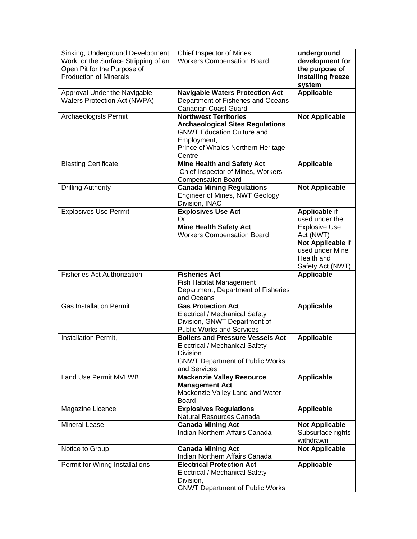| Sinking, Underground Development<br>Work, or the Surface Stripping of an<br>Open Pit for the Purpose of<br><b>Production of Minerals</b> | Chief Inspector of Mines<br><b>Workers Compensation Board</b>                                                                                                               | underground<br>development for<br>the purpose of<br>installing freeze<br>system                                                                |
|------------------------------------------------------------------------------------------------------------------------------------------|-----------------------------------------------------------------------------------------------------------------------------------------------------------------------------|------------------------------------------------------------------------------------------------------------------------------------------------|
| Approval Under the Navigable<br>Waters Protection Act (NWPA)                                                                             | <b>Navigable Waters Protection Act</b><br>Department of Fisheries and Oceans<br>Canadian Coast Guard                                                                        | <b>Applicable</b>                                                                                                                              |
| Archaeologists Permit                                                                                                                    | <b>Northwest Territories</b><br><b>Archaeological Sites Regulations</b><br><b>GNWT Education Culture and</b><br>Employment,<br>Prince of Whales Northern Heritage<br>Centre | <b>Not Applicable</b>                                                                                                                          |
| <b>Blasting Certificate</b>                                                                                                              | <b>Mine Health and Safety Act</b><br>Chief Inspector of Mines, Workers<br><b>Compensation Board</b>                                                                         | Applicable                                                                                                                                     |
| <b>Drilling Authority</b>                                                                                                                | <b>Canada Mining Regulations</b><br>Engineer of Mines, NWT Geology<br>Division, INAC                                                                                        | <b>Not Applicable</b>                                                                                                                          |
| <b>Explosives Use Permit</b>                                                                                                             | <b>Explosives Use Act</b><br>Or<br><b>Mine Health Safety Act</b><br><b>Workers Compensation Board</b>                                                                       | Applicable if<br>used under the<br><b>Explosive Use</b><br>Act (NWT)<br>Not Applicable if<br>used under Mine<br>Health and<br>Safety Act (NWT) |
|                                                                                                                                          |                                                                                                                                                                             |                                                                                                                                                |
| <b>Fisheries Act Authorization</b>                                                                                                       | <b>Fisheries Act</b><br>Fish Habitat Management<br>Department, Department of Fisheries<br>and Oceans                                                                        | <b>Applicable</b>                                                                                                                              |
| <b>Gas Installation Permit</b>                                                                                                           | <b>Gas Protection Act</b><br><b>Electrical / Mechanical Safety</b><br>Division, GNWT Department of<br><b>Public Works and Services</b>                                      | <b>Applicable</b>                                                                                                                              |
| Installation Permit,                                                                                                                     | <b>Boilers and Pressure Vessels Act</b><br><b>Electrical / Mechanical Safety</b><br>Division<br><b>GNWT Department of Public Works</b><br>and Services                      | <b>Applicable</b>                                                                                                                              |
| <b>Land Use Permit MVLWB</b>                                                                                                             | <b>Mackenzie Valley Resource</b><br><b>Management Act</b><br>Mackenzie Valley Land and Water<br><b>Board</b>                                                                | <b>Applicable</b>                                                                                                                              |
| Magazine Licence                                                                                                                         | <b>Explosives Regulations</b><br>Natural Resources Canada                                                                                                                   | <b>Applicable</b>                                                                                                                              |
| <b>Mineral Lease</b>                                                                                                                     | <b>Canada Mining Act</b><br>Indian Northern Affairs Canada                                                                                                                  | <b>Not Applicable</b><br>Subsurface rights<br>withdrawn                                                                                        |
| Notice to Group                                                                                                                          | <b>Canada Mining Act</b><br>Indian Northern Affairs Canada                                                                                                                  | <b>Not Applicable</b>                                                                                                                          |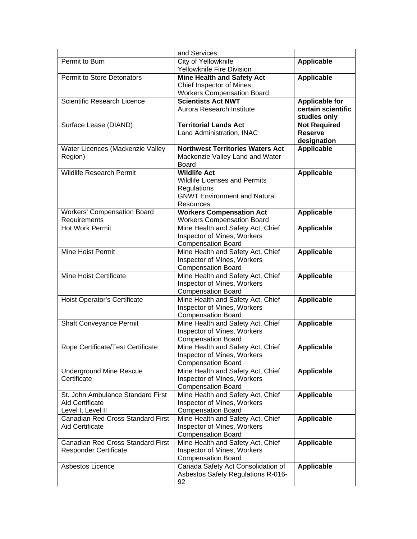|                                    | and Services                                     |                                    |
|------------------------------------|--------------------------------------------------|------------------------------------|
| Permit to Burn                     | City of Yellowknife<br>Yellowknife Fire Division | <b>Applicable</b>                  |
| <b>Permit to Store Detonators</b>  | <b>Mine Health and Safety Act</b>                | <b>Applicable</b>                  |
|                                    | Chief Inspector of Mines,                        |                                    |
|                                    | <b>Workers Compensation Board</b>                |                                    |
| <b>Scientific Research Licence</b> | <b>Scientists Act NWT</b>                        | <b>Applicable for</b>              |
|                                    | Aurora Research Institute                        | certain scientific<br>studies only |
| Surface Lease (DIAND)              | <b>Territorial Lands Act</b>                     | <b>Not Required</b>                |
|                                    | Land Administration, INAC                        | <b>Reserve</b>                     |
|                                    |                                                  | designation                        |
| Water Licences (Mackenzie Valley   | <b>Northwest Territories Waters Act</b>          | <b>Applicable</b>                  |
| Region)                            | Mackenzie Valley Land and Water                  |                                    |
|                                    | Board                                            |                                    |
| <b>Wildlife Research Permit</b>    | <b>Wildlife Act</b>                              | Applicable                         |
|                                    | <b>Wildlife Licenses and Permits</b>             |                                    |
|                                    | Regulations                                      |                                    |
|                                    | <b>GNWT Environment and Natural</b>              |                                    |
|                                    | <b>Resources</b>                                 |                                    |
| <b>Workers' Compensation Board</b> | <b>Workers Compensation Act</b>                  | <b>Applicable</b>                  |
| Requirements                       | <b>Workers Compensation Board</b>                |                                    |
| Hot Work Permit                    | Mine Health and Safety Act, Chief                | <b>Applicable</b>                  |
|                                    | Inspector of Mines, Workers                      |                                    |
|                                    | <b>Compensation Board</b>                        |                                    |
| Mine Hoist Permit                  | Mine Health and Safety Act, Chief                | <b>Applicable</b>                  |
|                                    | Inspector of Mines, Workers                      |                                    |
|                                    | <b>Compensation Board</b>                        |                                    |
| Mine Hoist Certificate             | Mine Health and Safety Act, Chief                | <b>Applicable</b>                  |
|                                    | Inspector of Mines, Workers                      |                                    |
|                                    | <b>Compensation Board</b>                        |                                    |
| Hoist Operator's Certificate       | Mine Health and Safety Act, Chief                | <b>Applicable</b>                  |
|                                    | Inspector of Mines, Workers                      |                                    |
|                                    | <b>Compensation Board</b>                        |                                    |
| <b>Shaft Conveyance Permit</b>     | Mine Health and Safety Act, Chief                | <b>Applicable</b>                  |
|                                    | Inspector of Mines, Workers                      |                                    |
|                                    | <b>Compensation Board</b>                        |                                    |
| Rope Certificate/Test Certificate  | Mine Health and Safety Act, Chief                | Applicable                         |
|                                    | Inspector of Mines, Workers                      |                                    |
|                                    | <b>Compensation Board</b>                        |                                    |
| <b>Underground Mine Rescue</b>     | Mine Health and Safety Act, Chief                | <b>Applicable</b>                  |
| Certificate                        | Inspector of Mines, Workers                      |                                    |
|                                    | <b>Compensation Board</b>                        |                                    |
| St. John Ambulance Standard First  | Mine Health and Safety Act, Chief                | <b>Applicable</b>                  |
| <b>Aid Certificate</b>             | Inspector of Mines, Workers                      |                                    |
| Level I, Level II                  | <b>Compensation Board</b>                        |                                    |
| Canadian Red Cross Standard First  | Mine Health and Safety Act, Chief                | <b>Applicable</b>                  |
| <b>Aid Certificate</b>             | Inspector of Mines, Workers                      |                                    |
|                                    | <b>Compensation Board</b>                        |                                    |
| Canadian Red Cross Standard First  | Mine Health and Safety Act, Chief                | Applicable                         |
| <b>Responder Certificate</b>       | Inspector of Mines, Workers                      |                                    |
|                                    | <b>Compensation Board</b>                        |                                    |
| Asbestos Licence                   | Canada Safety Act Consolidation of               | <b>Applicable</b>                  |
|                                    | Asbestos Safety Regulations R-016-               |                                    |
|                                    | 92                                               |                                    |